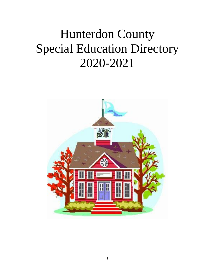# Hunterdon County Special Education Directory 2020-2021

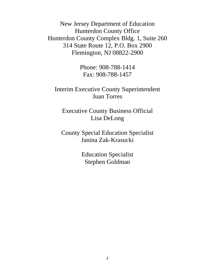New Jersey Department of Education Hunterdon County Office Hunterdon County Complex Bldg. 1, Suite 260 314 State Route 12, P.O. Box 2900 Flemington, NJ 08822-2900

> Phone: 908-788-1414 Fax: 908-788-1457

# Interim Executive County Superintendent Juan Torres

Executive County Business Official Lisa DeLong

County Special Education Specialist Janina Zak-Krasucki

> Education Specialist Stephen Goldman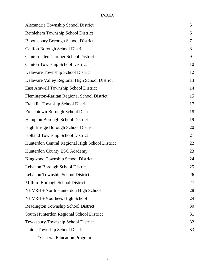#### **INDEX**

| Alexandria Township School District             | 5  |
|-------------------------------------------------|----|
| Bethlehem Township School District              | 6  |
| <b>Bloomsbury Borough School District</b>       | 7  |
| <b>Califon Borough School District</b>          | 8  |
| <b>Clinton-Glen Gardner School District</b>     | 9  |
| <b>Clinton Township School District</b>         | 10 |
| Delaware Township School District               | 12 |
| Delaware Valley Regional High School District   | 13 |
| East Amwell Township School District            | 14 |
| Flemington-Raritan Regional School District     | 15 |
| Franklin Township School District               | 17 |
| Frenchtown Borough School District              | 18 |
| Hampton Borough School District                 | 19 |
| High Bridge Borough School District             | 20 |
| <b>Holland Township School District</b>         | 21 |
| Hunterdon Central Regional High School District | 22 |
| Hunterdon County ESC Academy                    | 23 |
| Kingwood Township School District               | 24 |
| Lebanon Borough School District                 | 25 |
| Lebanon Township School District                | 26 |
| Milford Borough School District                 | 27 |
| NHVRHS-North Hunterdon High School              | 28 |
| NHVRHS-Voorhees High School                     | 29 |
| <b>Readington Township School District</b>      | 30 |
| South Hunterdon Regional School District        | 31 |
| Tewksbury Township School District              | 32 |
| <b>Union Township School District</b>           | 33 |
| *General Education Program                      |    |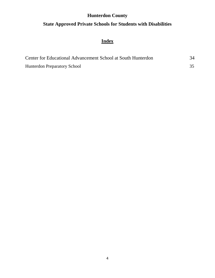## **Hunterdon County**

## **State Approved Private Schools for Students with Disabilities**

# **Index**

| Center for Educational Advancement School at South Hunterdon | 34 |
|--------------------------------------------------------------|----|
| <b>Hunterdon Preparatory School</b>                          |    |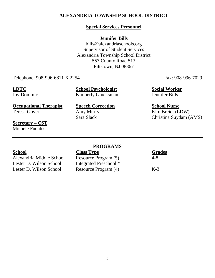### **ALEXANDRIA TOWNSHIP SCHOOL DISTRICT**

#### **Special Services Personnel**

#### **Jennifer Bills**

[bills@alexandriaschools.org](mailto:bills@alexandriaschools.org) Supervisor of Student Services Alexandria Township School District 557 County Road 513 Pittstown, NJ 08867

Telephone: 908-996-6811 X 2254 Fax: 908-996-7029

**LDTC School Psychologist Social Worker** Joy Dominic Kimberly Glucksman Jennifer Bills

**Occupational Therapist**<br> **Speech Correction**<br> **School Nurse**<br> **School Nurse**<br> **School Nurse**<br> **School Nurse**<br> **School Nurse** 

Amy Murry Kim Breidt (LDW) Sara Slack Christina Suydam (AMS)

**Secretary – CST** Michele Fuentes

#### **PROGRAMS**

Alexandria Middle School Resource Program (5) 4-8 Lester D. Wilson School Integrated Preschool \* Lester D. Wilson School Resource Program (4) K-3

**School Class Type Grades**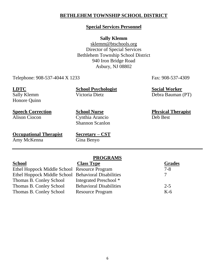#### **BETHLEHEM TOWNSHIP SCHOOL DISTRICT**

#### **Special Services Personnel**

#### **Sally Klemm**

[sklemm@btschools.org](mailto:sklemm@btschools.org) Director of Special Services Bethlehem Township School District 940 Iron Bridge Road Asbury, NJ 08802

Telephone: 908-537-4044 X 1233 Fax: 908-537-4309

Honore Quinn

**LDTC School Psychologist Social Worker** Sally Klemm Victoria Dietz Debra Bauman (PT)

**Occupational Therapist Secretary – CST** Amy McKenna Gina Benyo

Alison Ciocon Cynthia Arancio Deb Best Shannon Scanlon

**Speech Correction School Nurse Physical Therapist**

| <b>Class Type</b>              | <b>Grades</b>                                                                                       |
|--------------------------------|-----------------------------------------------------------------------------------------------------|
|                                | $7 - 8$                                                                                             |
|                                | $\tau$                                                                                              |
| Integrated Preschool *         |                                                                                                     |
| <b>Behavioral Disabilities</b> | $2 - 5$                                                                                             |
| <b>Resource Program</b>        | $K-6$                                                                                               |
|                                | Ethel Hoppock Middle School Resource Program<br>Ethel Hoppock Middle School Behavioral Disabilities |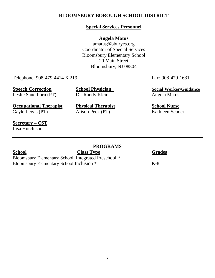### **BLOOMSBURY BOROUGH SCHOOL DISTRICT**

### **Special Services Personnel**

#### **Angela Matus**

amatus@bburyes.org Coordinator of Special Services Bloomsbury Elementary School 20 Main Street Bloomsbury, NJ 08804

Telephone: 908-479-4414 X 219 Fax: 908-479-1631

Leslie Sauerborn (PT) Dr. Randy Klein Angela Matus

**Occupational Therapist Physical Therapist School Nurse** Gayle Lewis (PT) Alison Peck (PT) Kathleen Scuderi

**Speech Correction School Physician Social Worker/Guidance** 

**Secretary – CST** Lisa Hutchison

### **PROGRAMS**

#### **School Class Type Grades** Bloomsbury Elementary School Integrated Preschool \* Bloomsbury Elementary School Inclusion \* K-8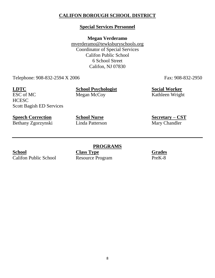### **CALIFON BOROUGH SCHOOL DISTRICT**

### **Special Services Personnel**

**Megan Verderamo**

[mverderamo@tewksburyschools.org](mailto:mverderamo@tewksburyschools.org) Coordinator of Special Services Califon Public School 6 School Street Califon, NJ 07830

Telephone: 908-832-2594 X 2006 Fax: 908-832-2950

**HCESC** 

**LDTC School Psychologist Social Worker** ESC of MC Megan McCoy Kathleen Wright

Scott Bagish ED Services

Bethany Zgorzynski

**Speech Correction**<br> **School Nurse**<br> **School Nurse**<br> **Secretary – CST**<br> **Secretary – CST**<br> **Secretary – CST**<br> **Secretary – CST** 

**School Class Type Grades** 

**PROGRAMS** Califon Public School Resource Program PreK-8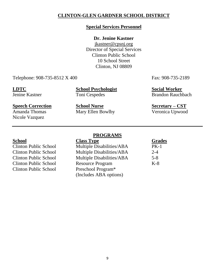### **CLINTON-GLEN GARDNER SCHOOL DISTRICT**

#### **Special Services Personnel**

### **Dr. Jenine Kastner**

[jkastner@cpsnj.org](mailto:jkastner@cpsnj.org) Director of Special Services Clinton Public School 10 School Street Clinton, NJ 08809

Telephone: 908-735-8512 X 400 Fax: 908-735-2189

**LDTC School Psychologist Social Worker**

Jenine Kastner Toni Cespedes Brandon Rauchbach

Nicole Vazquez

**Speech Correction School Nurse Secretary – CST** Amanda Thomas Mary Ellen Bowlby Veronica Upwood

Clinton Public School Preschool Program\*

#### **PROGRAMS**

**School Class Type Grades** Clinton Public School Multiple Disabilities/ABA PK-1 Clinton Public School Multiple Disabilities/ABA 2-4 Clinton Public School Multiple Disabilities/ABA 5-8 Clinton Public School Resource Program K-8 (Includes ABA options)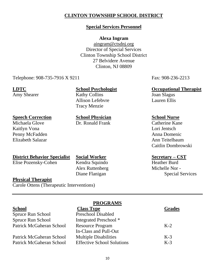### **CLINTON TOWNSHIP SCHOOL DISTRICT**

### **Special Services Personnel**

#### **Alexa Ingram**

[aingram@ctsdnj.org](mailto:aingram@ctsdnj.org) Director of Special Services Clinton Township School District 27 Belvidere Avenue Clinton, NJ 08809

Telephone: 908-735-7916 X 9211 Fax: 908-236-2213

Amy Shearer Kathy Collins Joan Slagus Allison Lefebvre Lauren Ellis Tracy Menzie

Dr. Ronald Frank

# **Speech Correction**<br> **School Physician**<br> **School Physician**<br> **School Nurse**<br> **School Nurse**<br> **School Nurse**<br> **School Nurse**<br> **Catherine Kane**

Kaitlyn Vona Lori Jentsch Penny McFadden Anna Domenic Elizabeth Salazar **Ann Teitelbaum** 

#### **District Behavior Specialist Social Worker Secretary – CST**

Elise Pozensky-Cohen Kendra Squindo Heather Burd

Alex Ruttenberg Michelle Nor -

### **LDTC School Psychologist Occupational Therapist**

Caitlin Dombrowski

Diane Flanigan Special Services

#### **Physical Therapist**

Carole Ottens (Therapeutic Interventions)

| <b>Grades</b> |
|---------------|
|               |
|               |
|               |
|               |
|               |
|               |
|               |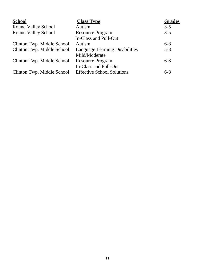| <b>School</b>              | <b>Class Type</b>                     | <b>Grades</b> |
|----------------------------|---------------------------------------|---------------|
| <b>Round Valley School</b> | Autism                                | $3 - 5$       |
| <b>Round Valley School</b> | <b>Resource Program</b>               | $3 - 5$       |
|                            | In-Class and Pull-Out                 |               |
| Clinton Twp. Middle School | Autism                                | $6 - 8$       |
| Clinton Twp. Middle School | <b>Language Learning Disabilities</b> | $5 - 8$       |
|                            | Mild/Moderate                         |               |
| Clinton Twp. Middle School | <b>Resource Program</b>               | $6-8$         |
|                            | In-Class and Pull-Out                 |               |
| Clinton Twp. Middle School | <b>Effective School Solutions</b>     | $6 - 8$       |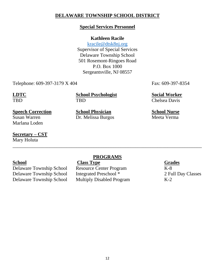### **DELAWARE TOWNSHIP SCHOOL DISTRICT**

#### **Special Services Personnel**

#### **Kathleen Racile**

[kracile@dtsk8nj.org](mailto:kracile@dtsk8nj.org) Supervisor of Special Services Delaware Township School 501 Rosemont-Ringoes Road P.O. Box 1000 Sergeantsville, NJ 08557

Telephone: 609-397-3179 X 404 Fax: 609-397-8354

**LDTC School Psychologist Social Worker** TBD TBD Chelsea Davis

Susan Warren Dr. Melissa Burgos Marlana Loden

**Secretary – CST** Mary Holuta

#### **PROGRAMS**

\_\_\_\_\_\_\_\_\_\_\_\_\_\_\_\_\_\_\_\_\_\_\_\_\_\_\_\_\_\_\_\_\_\_\_\_\_\_\_\_\_\_\_\_\_\_\_\_\_\_\_\_\_\_\_\_\_\_\_\_\_\_\_\_\_\_\_\_\_\_\_\_\_\_\_\_\_

Delaware Township School Integrated Preschool \* 2 Full Day Classes Delaware Township School Multiply Disabled Program K-2

# **School**<br> **Class Type**<br> **Class Type**<br> **Class Type**<br> **Class Type**<br> **Class Type**<br> **Class Type**<br> **Class Type**<br> **Class Type**<br> **Class Type**<br> **Class Type**<br> **Class Type**<br> **Class Type**<br> **Class Type** Delaware Township School Resource Center Program K-8

**Speech Correction**<br> **School Physician**<br> **School Physician**<br> **School Nurse**<br> **School Nurse**<br> **School Nurse**<br> **School Nurse**<br> **School Nurse**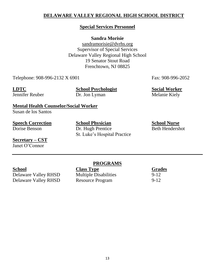### **DELAWARE VALLEY REGIONAL HIGH SCHOOL DISTRICT**

#### **Special Services Personnel**

### **Sandra Morisie**

[sandramorisie@dvrhs.org](mailto:frankguenther@dvrhs.org) Supervisor of Special Services Delaware Valley Regional High School 19 Senator Stout Road Frenchtown, NJ 08825

Telephone: 908-996-2132 X 6901 Fax: 908-996-2052

**LDTC School Psychologist Social Worker** Jennifer Reuber Dr. Jon Lyman Melanie Kiely

**Mental Health Counselor/Social Worker**

Susan de los Santos

**Speech Correction School Physician School Nurse**

#### **Secretary – CST** Janet O'Connor

Dorise Benson Dr. Hugh Prentice Beth Hendershot St. Luke's Hospital Practice

### **PROGRAMS**

**School**<br> **Class Type**<br> **Class Type**<br> **Class Type**<br> **Class Type**<br> **Class Type**<br> **Class Type**<br> **Class Type**<br> **Class Alley RHSD**<br> **Class Alley RHSD**<br> **Class Alley RHSD**<br> **Class Alley RHSD**<br> **Class Alley RHSD** Delaware Valley RHSD Multiple Disabilities 9-12<br>Delaware Valley RHSD Resource Program 9-12 Delaware Valley RHSD Resource Program 9-12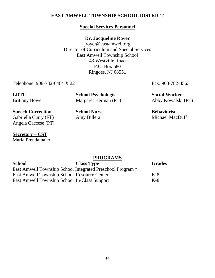### **EAST AMWELL TOWNSHIP SCHOOL DISTRICT**

### **Special Services Personnel**

### **Dr. Jacqueline Royer**

[jroyer@eastamwell.org](mailto:jroyer@eastamwell.org) Director of Curriculum and Special Services East Amwell Township School 43 Westville Road P.O. Box 680 Ringoes, NJ 08551

Telephone: 908-782-6464 X 221 Fax: 908-782-4563

**LDTC School Psychologist Social Worker** Brittany Bower Margaret Herman (PT) Abby Kowalski (PT)

Gabriella Curry (FT) Amy Billera Angela Caccese (PT)

#### **Secretary – CST** Maria Prendamano

|                                                    | <b>PROGRAMS</b>                                            |               |
|----------------------------------------------------|------------------------------------------------------------|---------------|
| School                                             | <b>Class Type</b>                                          | <b>Grades</b> |
|                                                    | East Amwell Township School Integrated Preschool Program * |               |
| <b>East Amwell Township School Resource Center</b> |                                                            | $K-8$         |
| East Amwell Township School In-Class Support       |                                                            | $K-8$         |

14

**Speech Correction**<br> **School Nurse**<br> **School Nurse**<br> **Behaviorist**<br> **Behaviorist**<br> **Behaviorist**<br> **Behaviorist**<br> **Behaviorist**<br> **Behaviorist**<br> **Behaviorist**<br> **Behaviorist**<br> **Behaviorist**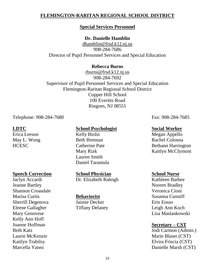### **FLEMINGTON-RARITAN REGIONAL SCHOOL DISTRICT**

#### **Special Services Personnel**

### **Dr. Danielle Hamblin**

[dhamblin@frsd.k12.nj.us](mailto:dhamblin@frsd.k12.nj.us) 908-284-7686 Director of Pupil Personnel Services and Special Education

#### **Rebecca Burns**

[rburns@frsd.k12.nj.us](mailto:rburns@frsd.k12.nj.us) 908-284-7692 Supervisor of Pupil Personnel Services and Special Education Flemington-Raritan Regional School District Copper Hill School 100 Everitts Road Ringoes, NJ 08551

Telephone: 908-284-7680 Fax: 908-284-7685

#### **Speech Correction School Physician School Nurse**

Jeanne Bartley Noreen Bradley Shannon Croasdale Veronica Cioni Marisa Curtis **Behaviorist Behaviorist** Susanna Cunniff Sherrill Degenova Jaimie Decker Erin Eosso Eleene Gallagher Tiffany Delaney Leigh Ann Koch Kelly Ann Hoff Joanne Hoffman **Secretary – CST**

#### **LDTC School Psychologist Social Worker**

Erica Leeson Kelly Biolsi Megan Appello May L. Wong Beth Brennan Rachel Colonna Lauren Smith Daniel Tarantula

Jaclyn Accardi Dr. Elizabeth Raleigh Kathleen Barbee

HCESC Catherine Pate Bethann Harrington Mary Rizk Kaitlyn McClymont

Mary Genovese Lisa Maslankowski

Beth Katz Jodi Carmon (Admin.) Laurie McKenzie Marie Blaser (CST) Kaitlyn Trabilsy Elvira Friscia (CST) Marcella Yanez Danielle Marsh (CST)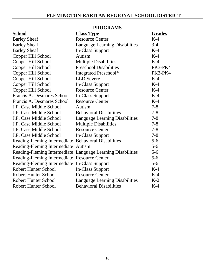|                                                      | <u>I NOOMAIND</u>                                           |               |
|------------------------------------------------------|-------------------------------------------------------------|---------------|
| <b>School</b>                                        | <b>Class Type</b>                                           | <b>Grades</b> |
| <b>Barley Sheaf</b>                                  | <b>Resource Center</b>                                      | $K-4$         |
| <b>Barley Sheaf</b>                                  | <b>Language Learning Disabilities</b>                       | $3-4$         |
| <b>Barley Sheaf</b>                                  | In-Class Support                                            | $K-4$         |
| Copper Hill School                                   | Autism                                                      | $K-4$         |
| Copper Hill School                                   | <b>Multiple Disabilities</b>                                | $K-4$         |
| Copper Hill School                                   | <b>Preschool Disabilities</b>                               | PK3-PK4       |
| Copper Hill School                                   | Integrated Preschool*                                       | PK3-PK4       |
| Copper Hill School                                   | <b>LLD</b> Severe                                           | $K-4$         |
| Copper Hill School                                   | <b>In-Class Support</b>                                     | $K-4$         |
| Copper Hill School                                   | <b>Resource Center</b>                                      | $K-4$         |
| Francis A. Desmares School                           | <b>In-Class Support</b>                                     | $K-4$         |
| Francis A. Desmares School                           | <b>Resource Center</b>                                      | $K-4$         |
| J.P. Case Middle School                              | Autism                                                      | $7 - 8$       |
| J.P. Case Middle School                              | <b>Behavioral Disabilities</b>                              | $7 - 8$       |
| J.P. Case Middle School                              | <b>Language Learning Disabilities</b>                       | $7 - 8$       |
| J.P. Case Middle School                              | <b>Multiple Disabilities</b>                                | $7 - 8$       |
| J.P. Case Middle School                              | <b>Resource Center</b>                                      | $7 - 8$       |
| J.P. Case Middle School                              | <b>In-Class Support</b>                                     | $7 - 8$       |
| Reading-Fleming Intermediate Behavioral Disabilities |                                                             | $5-6$         |
| Reading-Fleming Intermediate Autism                  |                                                             | $5 - 6$       |
|                                                      | Reading-Fleming Intermediate Language Learning Disabilities | $5 - 6$       |
| Reading-Fleming Intermediate Resource Center         |                                                             | $5 - 6$       |
| Reading-Fleming Intermediate In-Class Support        |                                                             | $5 - 6$       |
| <b>Robert Hunter School</b>                          | <b>In-Class Support</b>                                     | $K-4$         |
| <b>Robert Hunter School</b>                          | <b>Resource Center</b>                                      | $K-4$         |
| <b>Robert Hunter School</b>                          | <b>Language Learning Disabilities</b>                       | $K-2$         |
| <b>Robert Hunter School</b>                          | <b>Behavioral Disabilities</b>                              | $K-4$         |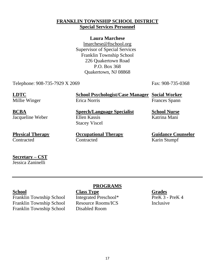### **FRANKLIN TOWNSHIP SCHOOL DISTRICT Special Services Personnel**

### **Laura Marchese**

[lmarchese@ftschool.org](mailto:lmarchese@ftschool.org) Supervisor of Special Services Franklin Township School 226 Quakertown Road P.O. Box 368 Quakertown, NJ 08868

Telephone: 908-735-7929 X 2069 Fax: 908-735-0368

**LDTC School Psychologist/Case Manager Social Worker** Millie Winger Frances Spann Erica Norris Frances Spann

**BCBA Speech/Language Specialist School Nurse** Jacqueline Weber Ellen Kassis Katrina Mani

Contracted Contracted Karin Stumpf

**Physical Therapy Occupational Therapy Guidance Counselor** 

Stacey Viscel

**Secretary – CST** Jessica Zaninelli

Franklin Township School Integrated Preschool\* PreK 3 - PreK 4 Franklin Township School Resource Rooms/ICS Inclusive Franklin Township School Disabled Room

### **PROGRAMS**

**School Class Type Grades**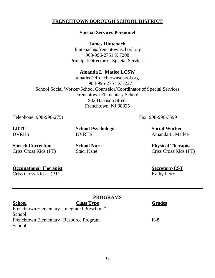### **FRENCHTOWN BOROUGH SCHOOL DISTRICT**

#### **Special Services Personnel**

**James Hintenach**

[jhintenach@frenchtownschool.org](mailto:jhintenach@frenchtownschool.org) 908-996-2751 X 7208 Principal/Director of Special Services

### **Amanda L. Matlee LCSW**

[amatlee@frenchtownschool.org](mailto:amatlee@frenchtownschool.org) 908-996-2751 X 7227 School Social Worker/School Counselor/Coordinator of Special Services Frenchtown Elementary School 902 Harrison Street Frenchtown, NJ 08825

Telephone: 908-996-2751 Fax: 908-996-3599

**LDTC School Psychologist Social Worker** DVRHS DVRHS Amanda L. Matlee

**Speech Correction School Nurse Physical Therapist**

Criss Cross Kids (PT) Staci Kane Criss Cross Kids (PT)

 $S**ecretary-CST**$ 

| <b>Occupational Therapist</b> | Secretary-C |                    |
|-------------------------------|-------------|--------------------|
| Criss Cross Kids (PT)         |             | <b>Kathy Petro</b> |

| <b>School</b>                               | <b>Class Type</b> | <b>Grades</b> |
|---------------------------------------------|-------------------|---------------|
| Frenchtown Elementary Integrated Preschool* |                   |               |
| School                                      |                   |               |
| Frenchtown Elementary Resource Program      |                   | $K-8$         |
| School                                      |                   |               |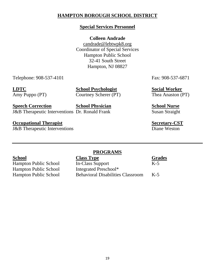### **HAMPTON BOROUGH SCHOOL DISTRICT**

### **Special Services Personnel**

### **Colleen Andrade**

[candrade@lebtwpk8.org](mailto:candrade@lebtwpk8.org) Coordinator of Special Services Hampton Public School 32-41 South Street Hampton, NJ 08827

Telephone: 908-537-4101 Fax: 908-537-6871

**LDTC School Psychologist Social Worker** Amy Puppo (PT) Courtney Scherer (PT) Thea Anaston (PT)

**Speech Correction School Physician School Nurse** J&B Therapeutic Interventions Dr. Ronald Frank Susan Straight

**Occupational Therapist Secretary-CST** J&B Therapeutic Interventions Diane Weston

Hampton Public School

### **PROGRAMS**

**School**<br> **Class Type**<br> **Class Support**<br> **Class Support**<br> **Class Support**<br> **Class Support**<br> **Class Support**<br> **Class Support** Hampton Public School In-Class Support K-5<br>
Hampton Public School Integrated Preschool\* Hampton Public School Behavioral Disabilities Classroom K-5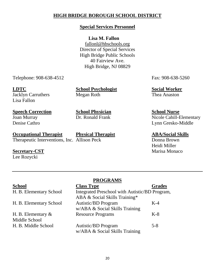### **HIGH BRIDGE BOROUGH SCHOOL DISTRICT**

### **Special Services Personnel**

### **Lisa M. Fallon**

[fallonl@hbschools.org](mailto:fallonl@hbschools.org) Director of Special Services High Bridge Public Schools 40 Fairview Ave. High Bridge, NJ 08829

Telephone: 908-638-4512 Fax: 908-638-5260

Lisa Fallon

**LDTC School Psychologist Social Worker** Jacklyn Carruthers Megan Roth Thea Anaston

### **Speech Correction School Physician School Nurse**

## **Occupational Therapist Physical Therapist ABA/Social Skills**

Therapeutic Interventions, Inc. Allison Peck Donna Brown

Lee Rozycki

# Joan Murray **Dr. Ronald Frank** Nicole Cahill-Elementary

Denise Cathro Lynn Gresko-Middle

Heidi Miller **Secretary-CST** Marisa Monaco

|                         | <b>PROGRAMS</b>                                |               |
|-------------------------|------------------------------------------------|---------------|
| <b>School</b>           | <b>Class Type</b>                              | <b>Grades</b> |
| H. B. Elementary School | Integrated Preschool with Autistic/BD Program, |               |
|                         | ABA & Social Skills Training*                  |               |
| H. B. Elementary School | <b>Autistic/BD</b> Program                     | $K-4$         |
|                         | w/ABA & Social Skills Training                 |               |
| H. B. Elementary $\&$   | <b>Resource Programs</b>                       | $K-8$         |
| Middle School           |                                                |               |
| H. B. Middle School     | <b>Autistic/BD</b> Program                     | $5 - 8$       |
|                         | w/ABA & Social Skills Training                 |               |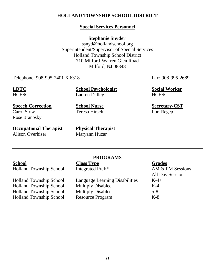### **HOLLAND TOWNSHIP SCHOOL DISTRICT**

### **Special Services Personnel**

#### **Stephanie Snyder**

[ssnyd@hollandschool.org](mailto:ssnyd@hollandschool.org) Superintendent/Supervisor of Special Services Holland Township School District 710 Milford-Warren Glen Road Milford, NJ 08848

Telephone: 908-995-2401 X 6318 Fax: 908-995-2689

**LDTC School Psychologist Social Worker** HCESC Lauren Dalley HCESC

**Speech Correction School Nurse Secretary-CST** Carol Stow Teresa Hirsch Lori Regep Rose Branosky

**Occupational Therapist Physical Therapist Alison Overhiser** Maryann Huzar

Holland Township School Integrated PreK<sup>\*</sup> AM & PM Sessions

Holland Township School Language Learning Disabilities K-4+ Holland Township School Resource Program K-8

#### **PROGRAMS School Class Type Grades**

Holland Township School Multiply Disabled K-4 Holland Township School Multiply Disabled 5-8

All Day Session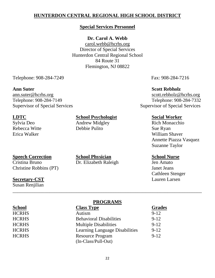### **HUNTERDON CENTRAL REGIONAL HIGH SCHOOL DISTRICT**

#### **Special Services Personnel**

#### **Dr. Carol A. Webb**

[carol.webb@hcrhs.org](mailto:carol.webb@hcrhs.org) Director of Special Services Hunterdon Central Regional School 84 Route 31 Flemington, NJ 08822

Telephone: 908-284-7249 Fax: 908-284-7216

Supervisor of Special Services Supervisor of Special Services

### **LDTC School Psychologist Social Worker**

Rebecca Witte **Debbie Pulito** Sue Ryan

Cristina Bruno Dr. Elizabeth Raleigh Jen Amato Christine Robbins (PT) Janet Jeans

#### **Secretary-CST** Lauren Larsen

Susan Renjilian

# **Speech Correction School Physician School Nurse**

#### **Ann Suter Scott Rebholz**

[ann.suter@hcrhs.org](mailto:ann.suter@hcrhs.org) [scott.rebholz@hcrhs.org](mailto:scott.rebholz@hcrhs.org) Telephone: 908-284-7149 Telephone: 908-284-7332

Sylvia Deo **Andrew Midgley** Rich Monacchio Erica Walker William Shaver Annette Piazza Vasquez Suzanne Taylor

Cathleen Stenger

### **PROGRAMS**

\_\_\_\_\_\_\_\_\_\_\_\_\_\_\_\_\_\_\_\_\_\_\_\_\_\_\_\_\_\_\_\_\_\_\_\_\_\_\_\_\_\_\_\_\_\_\_\_\_\_\_\_\_\_\_\_\_\_\_\_\_\_\_\_\_\_\_\_\_\_\_\_\_\_\_\_\_

| <b>School</b> | <b>Class Type</b>              | <b>Grades</b> |
|---------------|--------------------------------|---------------|
| <b>HCRHS</b>  | Autism                         | $9 - 12$      |
| <b>HCRHS</b>  | <b>Behavioral Disabilities</b> | $9 - 12$      |
| <b>HCRHS</b>  | <b>Multiple Disabilities</b>   | $9 - 12$      |
| <b>HCRHS</b>  | Learning Language Disabilities | $9 - 12$      |
| <b>HCRHS</b>  | <b>Resource Program</b>        | $9 - 12$      |
|               | $(In-Class/Full-Out)$          |               |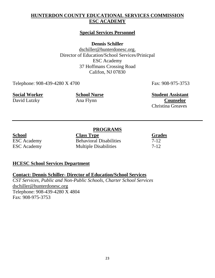### **HUNTERDON COUNTY EDUCATIONAL SERVICES COMMISSION ESC ACADEMY**

### **Special Services Personnel**

**Dennis Schiller**

[dschiller@hunterdonesc.org.](mailto:dschiller@hunterdonesc.org.org) Director of Education/School Services/Prinicpal ESC Academy 37 Hoffmans Crossing Road Califon, NJ 07830

Telephone: 908-439-4280 X 4700 Fax: 908-975-3753

**Social Worker School Nurse Student Assistant**  David Lutzky Ana Flynn **Counselor** Christina Greaves

### **PROGRAMS**

**School Class Type Grades** ESC Academy Behavioral Disabilities 7-12 ESC Academy Multiple Disabilities 7-12

### **HCESC School Services Department**

#### **Contact: Dennis Schiller- Director of Education/School Services**

*CST Services, Public and Non-Public Schools, Charter School Services* [dschiller@hunterdonesc.org](mailto:dschiller@hunterdonesc.org) Telephone: 908-439-4280 X 4804 Fax: 908-975-3753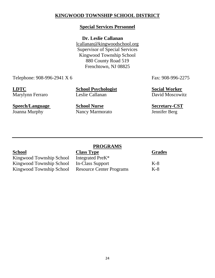### **KINGWOOD TOWNSHIP SCHOOL DISTRICT**

### **Special Services Personnel**

#### **Dr. Leslie Callanan**

[lcallanan@kingwoodschool.org](mailto:lcallanan@kingwoodschool.org) Supervisor of Special Services Kingwood Township School 880 County Road 519 Frenchtown, NJ 08825

Telephone: 908-996-2941 X 6 Fax: 908-996-2275

Marylynn Ferraro

**LDTC**<br> **School Psychologist**<br> **Social Worker**<br> **Social Worker**<br> **Social Worker**<br> **Social Worker**<br> **Social Worker**<br> **Social Worker** 

**Speech/Language School Nurse Secretary-CST**

Joanna Murphy Nancy Marmorato Jennifer Berg

Kingwood Township School Integrated PreK\*<br>Kingwood Township School In-Class Support

### **PROGRAMS**

**School Class Type Grades** Kingwood Township School In-Class Support K-8<br>
Kingwood Township School Resource Center Programs K-8 Kingwood Township School Resource Center Programs K-8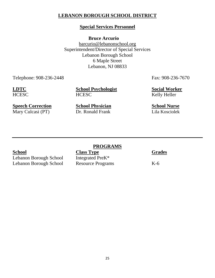### **LEBANON BOROUGH SCHOOL DISTRICT**

### **Special Services Personnel**

**Bruce Arcurio**

[barcurio@lebanonschool.org](mailto:barcurio@lebanonschool.org) Superintendent/Director of Special Services Lebanon Borough School 6 Maple Street Lebanon, NJ 08833

Telephone: 908-236-2448 Fax: 908-236-7670

**LDTC School Psychologist Social Worker** HCESC HCESC Kelly Heller

**Speech Correction**<br> **School Physician**<br> **School Nurse**<br> **School Nurse**<br> **Dr. Ronald Frank**<br> **Lila Kosciolek** Mary Culcasi (PT) Dr. Ronald Frank Lila Kosciolek

Lebanon Borough School Integrated PreK\* Lebanon Borough School Resource Programs K-6

### **PROGRAMS**

**School Class Type Grades**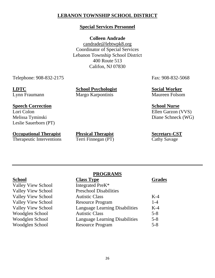### **LEBANON TOWNSHIP SCHOOL DISTRICT**

### **Special Services Personnel**

#### **Colleen Andrade**

[candrade@lebtwpk8.org](mailto:candrade@lebtwpk8.org) Coordinator of Special Services Lebanon Township School District 400 Route 513 Califon, NJ 07830

Telephone: 908-832-2175 Fax: 908-832-5068

**LDTC School Psychologist Social Worker** Lynn Fraumann Margo Karpontinis Maureen Folsom

#### **Speech Correction School Nurse**

Lori Colon Ellen Garzon (VVS) Leslie Sauerborn (PT)

**Occupational Therapist Physical Therapist Secretary-CST**

Therapeutic Interventions Terri Finnegan (PT) Cathy Savage

Melissa Tyminski Diane Schneck (WG)

| chool |
|-------|
|       |

| <b>Class Type</b>                     | <b>Grades</b> |
|---------------------------------------|---------------|
| Integrated PreK <sup>*</sup>          |               |
| <b>Preschool Disabilities</b>         |               |
| <b>Autistic Class</b>                 | $K-4$         |
| <b>Resource Program</b>               | $1 - 4$       |
| <b>Language Learning Disabilities</b> | $K-4$         |
| <b>Autistic Class</b>                 | $5 - 8$       |
| <b>Language Learning Disabilities</b> | $5 - 8$       |
| <b>Resource Program</b>               | $5 - 8$       |
|                                       |               |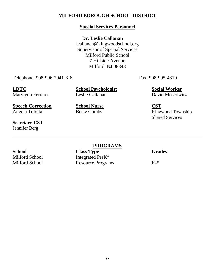### **MILFORD BOROUGH SCHOOL DISTRICT**

### **Special Services Personnel**

#### **Dr. Leslie Callanan**

[lcallanan@kingwoodschool.org](mailto:lcallanan@kingwoodschool.org) Supervisor of Special Services Milford Public School 7 Hillside Avenue Milford, NJ 08848

Telephone: 908-996-2941 X 6 Fax: 908-995-4310

Marylynn Ferraro

**LDTC**<br> **School Psychologist**<br> **Social Worker**<br> **Social Worker**<br> **Social Worker**<br> **Social Worker**<br> **Social Worker**<br> **Social Worker** 

**Speech Correction School Nurse CST**

**Secretary-CST** Jennifer Berg

**PROGRAMS**

**School Class Type Grades**<br> **Class Type Grades**<br> **Class Type Grades** Integrated PreK\* Milford School Resource Programs K-5

Angela Tolotta **Betsy Combs** Kingwood Township Shared Services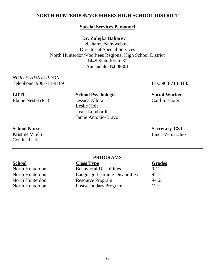### **NORTH HUNTERDON/VOORHEES HIGH SCHOOL DISTRICT**

#### **Special Services Personnel**

#### **Dr. Zulejka Baharev**

[zbaharev@n](mailto:zbaharev@)hvweb.net Director of Special Services North Hunterdon/Voorhees Regional High School District 1445 State Route 31 Annandale, NJ 08801

*NORTH HUNTERDON* Telephone: 908-713-4169 Fax: 908-713-4183

Elaine Nestel (PT)

## **LDTC**<br> **School Psychologist**<br> **Social Worker**<br> **Social Worker**<br> **Social Worker**<br> **Social Worker**<br> **Social Worker** Leslie Holt Jason Lombardi Jamie Antonio-Bravo

**School Nurse Secretary-CST**

Linda Vernacchio

Cynthia Peck

| School          | <b>Class Type</b>              | <b>Grades</b> |
|-----------------|--------------------------------|---------------|
| North Hunterdon | <b>Behavioral Disabilities</b> | $9 - 12$      |
| North Hunterdon | Language Learning Disabilities | $9 - 12$      |
| North Hunterdon | <b>Resource Program</b>        | $9 - 12$      |
| North Hunterdon | <b>Postsecondary Program</b>   | $12+$         |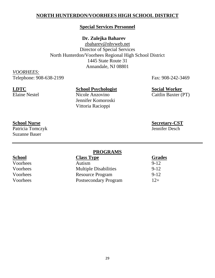### **NORTH HUNTERDON/VOORHEES HIGH SCHOOL DISTRICT**

#### **Special Services Personnel**

### **Dr. Zulejka Baharev**

[zbaharev@n](mailto:zbaharev@)hvweb.net Director of Special Services North Hunterdon/Voorhees Regional High School District 1445 State Route 31 Annandale, NJ 08801

*VOORHEES:* Telephone: 908-638-2199 Fax: 908-242-3469

### **LDTC School Psychologist Social Worker**

Jennifer Komoroski Vittoria Racioppi

Elaine Nestel Nicole Anzovino Caitlin Baxter (PT)

**School Nurse**<br> **Secretary-CST**<br> **Patricia Tomczyk**<br> **Secretary-CST**<br> **Secretary-CST** Patricia Tomczyk Suzanne Bauer

#### **PROGRAMS**

| School   | <b>Class Type</b>            | <b>Grades</b> |
|----------|------------------------------|---------------|
| Voorhees | Autism                       | $9 - 12$      |
| Voorhees | <b>Multiple Disabilities</b> | $9 - 12$      |
| Voorhees | <b>Resource Program</b>      | $9 - 12$      |
| Voorhees | Postsecondary Program        | $12+$         |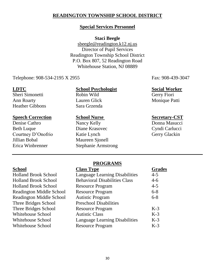### **READINGTON TOWNSHIP SCHOOL DISTRICT**

#### **Special Services Personnel**

#### **Staci Beegle**

[sbeegle@readington.k12.](mailto:sbeegle@readington.k12)nj.us Director of Pupil Services Readington Township School District P.O. Box 807, 52 Readington Road Whitehouse Station, NJ 08889

Telephone: 908-534-2195 X 2955 Fax: 908-439-3047

Sheri Simonetti Robin Wild Gerry Fiori Ann Roarty **Lauren Glick** Monique Patti Heather Gibbons Sara Grzenda

#### **Speech Correction School Nurse Secretary-CST**

Denise Cathro Nancy Kelly Donna Masucci Jillian Bobal Maureen Sjonell

#### **LDTC School Psychologist Social Worker**

Beth Luque Diane Krasovec Cyndi Carlucci Courtney D'Onofrio Katie Lynch Gerry Glackin Erica Winbrenner Stephanie Armstrong

| <b>School</b>                   | <b>Class Type</b>                     | <b>Grades</b> |
|---------------------------------|---------------------------------------|---------------|
| <b>Holland Brook School</b>     | <b>Language Learning Disabilities</b> | $4 - 5$       |
| <b>Holland Brook School</b>     | <b>Behavioral Disabilities Class</b>  | $4-6$         |
| <b>Holland Brook School</b>     | <b>Resource Program</b>               | $4 - 5$       |
| <b>Readington Middle School</b> | <b>Resource Program</b>               | $6 - 8$       |
| <b>Readington Middle School</b> | <b>Autistic Program</b>               | $6 - 8$       |
| Three Bridges School            | <b>Preschool Disabilities</b>         |               |
| Three Bridges School            | <b>Resource Program</b>               | $K-3$         |
| <b>Whitehouse School</b>        | <b>Autistic Class</b>                 | $K-3$         |
| Whitehouse School               | <b>Language Learning Disabilities</b> | $K-3$         |
| Whitehouse School               | <b>Resource Program</b>               | $K-3$         |
|                                 |                                       |               |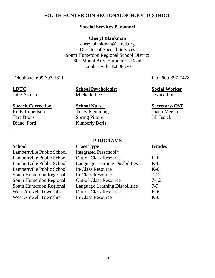### **SOUTH HUNTERDON REGIONAL SCHOOL DISTRICT**

#### **Special Services Personnel**

#### **Cheryl Blankman**

cherylblankman@shrsd.org Director of Special Services South Hunterdon Regional School District 301 Mount Airy-Harbourton Road Lambertville, NJ 08530

Telephone: 609-397-1311 Fax: 609-397-7428

**LDTC School Psychologist Social Worker** Julie Asplen Michelle Lee Jessica Lui

#### **Speech Correction School Nurse Secretary-CST**

Kelly Robertson Tracy Flemming Joann Merski Diane Ford Kimberly Berls

Tara Brons Spring Pittore Jill Jusick

| School                            | <b>Class Type</b>                     | <b>Grades</b> |
|-----------------------------------|---------------------------------------|---------------|
| Lambertville Public School        | Integrated Preschool*                 |               |
| <b>Lambertville Public School</b> | <b>Out-of-Class Resource</b>          | $K-6$         |
| Lambertville Public School        | Language Learning Disabilities        | $K-6$         |
| <b>Lambertville Public School</b> | <b>In-Class Resource</b>              | $K-6$         |
| <b>South Hunterdon Regional</b>   | <b>In-Class Resource</b>              | $7-12$        |
| South Hunterdon Regional          | <b>Out-of-Class Resource</b>          | $7-12$        |
| <b>South Hunterdon Regional</b>   | <b>Language Learning Disabilities</b> | $7-9$         |
| <b>West Amwell Township</b>       | <b>Out-of-Class Resource</b>          | $K-6$         |
| <b>West Amwell Township</b>       | In-Class Resource                     | $K-6$         |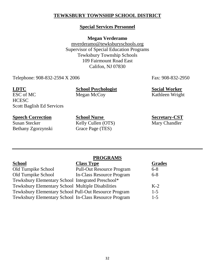### **TEWKSBURY TOWNSHIP SCHOOL DISTRICT**

### **Special Services Personnel**

**Megan Verderamo**

[mverderamo@t](mailto:mverderamo@)ewksburyschools.org Supervisor of Special Education Programs Tewksbury Township Schools 109 Fairmount Road East Califon, NJ 07830

Telephone: 908-832-2594 X 2006 Fax: 908-832-2950

**LDTC School Psychologist Social Worker**

ESC of MC Megan McCoy Kathleen Wright **HCESC** Scott Baglish Ed Services

Bethany Zgorzynski Grace Page (TES)

**Speech Correction**<br>
School Nurse Secretary-CST<br>
Kelly Cullen (OTS) Mary Chandler<br>
Mary Chandler Kelly Cullen (OTS)

|                                                       | <b>PROGRAMS</b>                  |               |
|-------------------------------------------------------|----------------------------------|---------------|
| School                                                | <b>Class Type</b>                | <b>Grades</b> |
| Old Turnpike School                                   | <b>Pull-Out Resource Program</b> | $6 - 8$       |
| Old Turnpike School                                   | In-Class Resource Program        | $6 - 8$       |
| Tewksbury Elementary School Integrated Preschool*     |                                  |               |
| Tewksbury Elementary School Multiple Disabilities     |                                  | $K-2$         |
| Tewksbury Elementary School Pull-Out Resource Program |                                  | $1-5$         |
| Tewksbury Elementary School In-Class Resource Program |                                  | $1 - 5$       |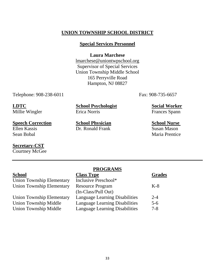### **UNION TOWNSHIP SCHOOL DISTRICT**

#### **Special Services Personnel**

#### **Laura Marchese**

lmarchese@uniontwpschool.org Supervisor of Special Services Union Township Middle School 165 Perryville Road Hampton, NJ 08827

Telephone: 908-238-6011 Fax: 908-735-6657

Millie Wingler

**LDTC School Psychologist Social Worker**

**Speech Correction School Physician School Nurse**  Ellen Kassis Dr. Ronald Frank Susan Mason

# **Secretary-CST**

Courtney McGee

Sean Bobal Maria Prentice

|                                  | <b>THATTANITY</b>                     |               |
|----------------------------------|---------------------------------------|---------------|
| School                           | <b>Class Type</b>                     | <b>Grades</b> |
| <b>Union Township Elementary</b> | Inclusive Preschool*                  |               |
| <b>Union Township Elementary</b> | <b>Resource Program</b>               | $K-8$         |
|                                  | (In-Class/Pull Out)                   |               |
| <b>Union Township Elementary</b> | <b>Language Learning Disabilities</b> | $2 - 4$       |
| <b>Union Township Middle</b>     | <b>Language Learning Disabilities</b> | $5 - 6$       |
| <b>Union Township Middle</b>     | <b>Language Learning Disabilities</b> | $7 - 8$       |
|                                  |                                       |               |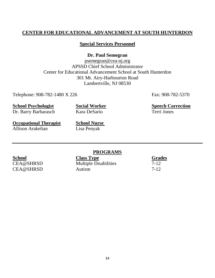### **CENTER FOR EDUCATIONAL ADVANCEMENT AT SOUTH HUNTERDON**

#### **Special Services Personnel**

**Dr. Paul Semegran** 

[psemegran@cea-](mailto:psemegran@cea)nj.org APSSD Chief School Administrator Center for Educational Advancement School at South Hunterdon 301 Mt. Airy-Harbourton Road Lambertville, NJ 08530

Telephone: 908-782-1480 X 226 Fax: 908-782-5370

**School Psychologist Social Worker Speech Correction** 

Dr. Barry Barbarasch Kara DeSario Terri Jones

**Occupational Therapist School Nurse** Allison Arakelian Lisa Penyak

#### **PROGRAMS**

**School Class Type Grades** CEA@SHRSD Multiple Disabilities 7-12 CEA@SHRSD Autism 7-12